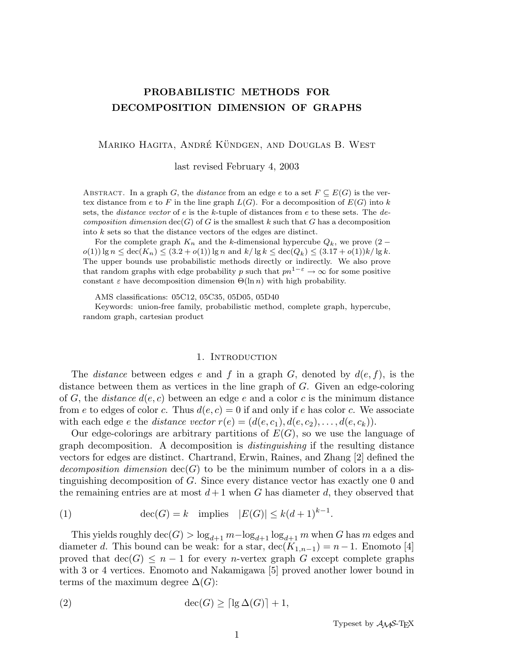# PROBABILISTIC METHODS FOR DECOMPOSITION DIMENSION OF GRAPHS

MARIKO HAGITA, ANDRÉ KÜNDGEN, AND DOUGLAS B. WEST

last revised February 4, 2003

ABSTRACT. In a graph G, the *distance* from an edge e to a set  $F \subseteq E(G)$  is the vertex distance from e to F in the line graph  $L(G)$ . For a decomposition of  $E(G)$  into k sets, the *distance vector* of e is the k-tuple of distances from e to these sets. The  $de$ composition dimension  $\text{dec}(G)$  of G is the smallest k such that G has a decomposition into k sets so that the distance vectors of the edges are distinct.

For the complete graph  $K_n$  and the k-dimensional hypercube  $Q_k$ , we prove  $(2$  $o(1)$  lg  $n \leq \text{dec}(K_n) \leq (3.2 + o(1)) \lg n$  and  $k/\lg k \leq \text{dec}(Q_k) \leq (3.17 + o(1))k/\lg k$ . The upper bounds use probabilistic methods directly or indirectly. We also prove that random graphs with edge probability p such that  $pn^{1-\epsilon} \to \infty$  for some positive constant  $\varepsilon$  have decomposition dimension  $\Theta(\ln n)$  with high probability.

AMS classifications: 05C12, 05C35, 05D05, 05D40

Keywords: union-free family, probabilistic method, complete graph, hypercube, random graph, cartesian product

#### 1. INTRODUCTION

The *distance* between edges e and f in a graph G, denoted by  $d(e, f)$ , is the distance between them as vertices in the line graph of  $G$ . Given an edge-coloring of G, the *distance*  $d(e, c)$  between an edge e and a color c is the minimum distance from e to edges of color c. Thus  $d(e, c) = 0$  if and only if e has color c. We associate with each edge e the distance vector  $r(e) = (d(e, c_1), d(e, c_2), \ldots, d(e, c_k)).$ 

Our edge-colorings are arbitrary partitions of  $E(G)$ , so we use the language of graph decomposition. A decomposition is distinguishing if the resulting distance vectors for edges are distinct. Chartrand, Erwin, Raines, and Zhang [2] defined the decomposition dimension  $dec(G)$  to be the minimum number of colors in a a distinguishing decomposition of G. Since every distance vector has exactly one 0 and the remaining entries are at most  $d+1$  when G has diameter d, they observed that

(1) 
$$
\operatorname{dec}(G) = k \quad \text{implies} \quad |E(G)| \le k(d+1)^{k-1}.
$$

This yields roughly  $\text{dec}(G) > \log_{d+1} m - \log_{d+1} \log_{d+1} m$  when G has m edges and diameter d. This bound can be weak: for a star,  $\text{dec}(K_{1,n-1}) = n-1$ . Enomoto [4] proved that  $\text{dec}(G) \leq n-1$  for every *n*-vertex graph G except complete graphs with 3 or 4 vertices. Enomoto and Nakamigawa [5] proved another lower bound in terms of the maximum degree  $\Delta(G)$ :

(2) 
$$
\operatorname{dec}(G) \ge \lceil \lg \Delta(G) \rceil + 1,
$$

Typeset by  $\mathcal{A} \mathcal{M} \mathcal{S}$ -TEX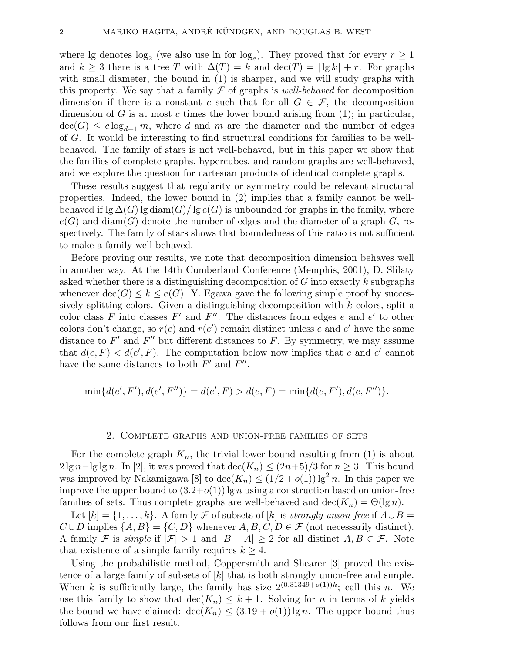where lg denotes  $log_2$  (we also use ln for  $log_e$ ). They proved that for every  $r \geq 1$ and  $k \geq 3$  there is a tree T with  $\Delta(T) = k$  and  $\text{dec}(T) = \lceil \lg k \rceil + r$ . For graphs with small diameter, the bound in (1) is sharper, and we will study graphs with this property. We say that a family  $\mathcal F$  of graphs is well-behaved for decomposition dimension if there is a constant c such that for all  $G \in \mathcal{F}$ , the decomposition dimension of G is at most c times the lower bound arising from  $(1)$ ; in particular,  $\text{dec}(G) \leq c \log_{d+1} m$ , where d and m are the diameter and the number of edges of G. It would be interesting to find structural conditions for families to be wellbehaved. The family of stars is not well-behaved, but in this paper we show that the families of complete graphs, hypercubes, and random graphs are well-behaved, and we explore the question for cartesian products of identical complete graphs.

These results suggest that regularity or symmetry could be relevant structural properties. Indeed, the lower bound in (2) implies that a family cannot be wellbehaved if lg  $\Delta(G)$  lg diam $(G)/\lg e(G)$  is unbounded for graphs in the family, where  $e(G)$  and diam(G) denote the number of edges and the diameter of a graph G, respectively. The family of stars shows that boundedness of this ratio is not sufficient to make a family well-behaved.

Before proving our results, we note that decomposition dimension behaves well in another way. At the 14th Cumberland Conference (Memphis, 2001), D. Slilaty asked whether there is a distinguishing decomposition of  $G$  into exactly  $k$  subgraphs whenever  $\text{dec}(G) \leq k \leq e(G)$ . Y. Egawa gave the following simple proof by successively splitting colors. Given a distinguishing decomposition with k colors, split a color class F into classes F' and F''. The distances from edges e and e' to other colors don't change, so  $r(e)$  and  $r(e')$  remain distinct unless e and e' have the same distance to  $F'$  and  $F''$  but different distances to F. By symmetry, we may assume that  $d(e, F) < d(e', F)$ . The computation below now implies that e and e' cannot have the same distances to both  $F'$  and  $F''$ .

$$
\min\{d(e',F'),d(e',F'')\} = d(e',F) > d(e,F) = \min\{d(e,F'),d(e,F'')\}.
$$

#### 2. Complete graphs and union-free families of sets

For the complete graph  $K_n$ , the trivial lower bound resulting from (1) is about  $2 \lg n - \lg \lg n$ . In [2], it was proved that  $\text{dec}(K_n) \leq (2n+5)/3$  for  $n \geq 3$ . This bound was improved by Nakamigawa [8] to  $\text{dec}(K_n) \leq (1/2 + o(1)) \lg^2 n$ . In this paper we improve the upper bound to  $(3.2+o(1))$  lg n using a construction based on union-free families of sets. Thus complete graphs are well-behaved and  $\text{dec}(K_n) = \Theta(\lg n)$ .

Let  $[k] = \{1, \ldots, k\}$ . A family F of subsets of  $[k]$  is strongly union-free if  $A \cup B =$  $C \cup D$  implies  $\{A, B\} = \{C, D\}$  whenever  $A, B, C, D \in \mathcal{F}$  (not necessarily distinct). A family F is simple if  $|\mathcal{F}| > 1$  and  $|B - A| \geq 2$  for all distinct  $A, B \in \mathcal{F}$ . Note that existence of a simple family requires  $k \geq 4$ .

Using the probabilistic method, Coppersmith and Shearer [3] proved the existence of a large family of subsets of  $[k]$  that is both strongly union-free and simple. When k is sufficiently large, the family has size  $2^{(0.31349+o(1))k}$ ; call this n. We use this family to show that  $\text{dec}(K_n) \leq k+1$ . Solving for n in terms of k yields the bound we have claimed:  $\text{dec}(K_n) \leq (3.19 + o(1)) \lg n$ . The upper bound thus follows from our first result.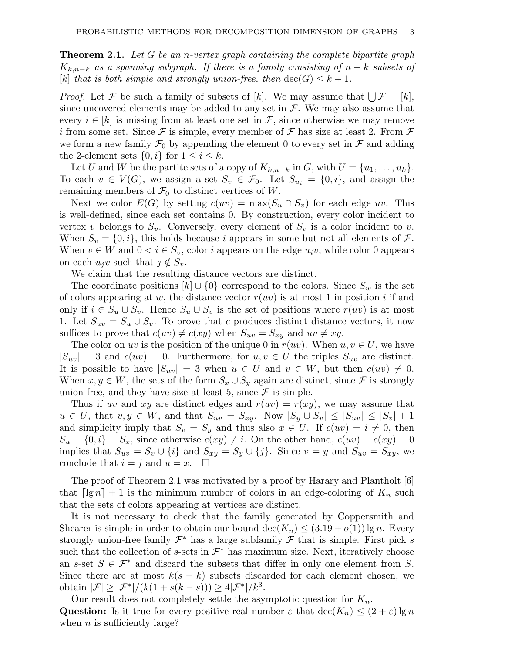**Theorem 2.1.** Let G be an n-vertex graph containing the complete bipartite graph  $K_{k,n-k}$  as a spanning subgraph. If there is a family consisting of  $n-k$  subsets of [k] that is both simple and strongly union-free, then  $\text{dec}(G) \leq k+1$ .

*Proof.* Let F be such a family of subsets of [k]. We may assume that  $\bigcup \mathcal{F} = [k],$ since uncovered elements may be added to any set in  $\mathcal F$ . We may also assume that every  $i \in [k]$  is missing from at least one set in F, since otherwise we may remove i from some set. Since  $\mathcal F$  is simple, every member of  $\mathcal F$  has size at least 2. From  $\mathcal F$ we form a new family  $\mathcal{F}_0$  by appending the element 0 to every set in  $\mathcal F$  and adding the 2-element sets  $\{0, i\}$  for  $1 \leq i \leq k$ .

Let U and W be the partite sets of a copy of  $K_{k,n-k}$  in G, with  $U = \{u_1, \ldots, u_k\}.$ To each  $v \in V(G)$ , we assign a set  $S_v \in \mathcal{F}_0$ . Let  $S_{u_i} = \{0, i\}$ , and assign the remaining members of  $\mathcal{F}_0$  to distinct vertices of W.

Next we color  $E(G)$  by setting  $c(uv) = \max(S_u \cap S_v)$  for each edge uv. This is well-defined, since each set contains 0. By construction, every color incident to vertex v belongs to  $S_v$ . Conversely, every element of  $S_v$  is a color incident to v. When  $S_v = \{0, i\}$ , this holds because i appears in some but not all elements of  $\mathcal{F}$ . When  $v \in W$  and  $0 < i \in S_v$ , color i appears on the edge  $u_i v$ , while color 0 appears on each  $u_jv$  such that  $j \notin S_v$ .

We claim that the resulting distance vectors are distinct.

The coordinate positions  $[k] \cup \{0\}$  correspond to the colors. Since  $S_w$  is the set of colors appearing at w, the distance vector  $r(uv)$  is at most 1 in position i if and only if  $i \in S_u \cup S_v$ . Hence  $S_u \cup S_v$  is the set of positions where  $r(uv)$  is at most 1. Let  $S_{uv} = S_u \cup S_v$ . To prove that c produces distinct distance vectors, it now suffices to prove that  $c(uv) \neq c(xy)$  when  $S_{uv} = S_{xy}$  and  $uv \neq xy$ .

The color on uv is the position of the unique 0 in  $r(uv)$ . When  $u, v \in U$ , we have  $|S_{uv}| = 3$  and  $c(uv) = 0$ . Furthermore, for  $u, v \in U$  the triples  $S_{uv}$  are distinct. It is possible to have  $|S_{uv}| = 3$  when  $u \in U$  and  $v \in W$ , but then  $c(uv) \neq 0$ . When  $x, y \in W$ , the sets of the form  $S_x \cup S_y$  again are distinct, since F is strongly union-free, and they have size at least 5, since  $\mathcal F$  is simple.

Thus if uv and xy are distinct edges and  $r(uv) = r(xy)$ , we may assume that  $u \in U$ , that  $v, y \in W$ , and that  $S_{uv} = S_{xy}$ . Now  $|S_y \cup S_v| \leq |S_{uv}| \leq |S_v| + 1$ and simplicity imply that  $S_v = S_y$  and thus also  $x \in U$ . If  $c(uv) = i \neq 0$ , then  $S_u = \{0, i\} = S_x$ , since otherwise  $c(xy) \neq i$ . On the other hand,  $c(uv) = c(xy) = 0$ implies that  $S_{uv} = S_v \cup \{i\}$  and  $S_{xy} = S_y \cup \{j\}$ . Since  $v = y$  and  $S_{uv} = S_{xy}$ , we conclude that  $i = j$  and  $u = x$ .  $\Box$ 

The proof of Theorem 2.1 was motivated by a proof by Harary and Plantholt [6] that  $\lceil \lg n \rceil + 1$  is the minimum number of colors in an edge-coloring of  $K_n$  such that the sets of colors appearing at vertices are distinct.

It is not necessary to check that the family generated by Coppersmith and Shearer is simple in order to obtain our bound  $\text{dec}(K_n) \leq (3.19 + o(1)) \lg n$ . Every strongly union-free family  $\mathcal{F}^*$  has a large subfamily  $\mathcal{F}$  that is simple. First pick s such that the collection of s-sets in  $\mathcal{F}^*$  has maximum size. Next, iteratively choose an s-set  $S \in \mathcal{F}^*$  and discard the subsets that differ in only one element from S. Since there are at most  $k(s - k)$  subsets discarded for each element chosen, we obtain  $|\mathcal{F}| \geq |\mathcal{F}^*|/(k(1+s(k-s))) \geq 4|\mathcal{F}^*|/k^3$ .

Our result does not completely settle the asymptotic question for  $K_n$ . Question: Is it true for every positive real number  $\varepsilon$  that  $\text{dec}(K_n) \leq (2 + \varepsilon) \lg n$ when  $n$  is sufficiently large?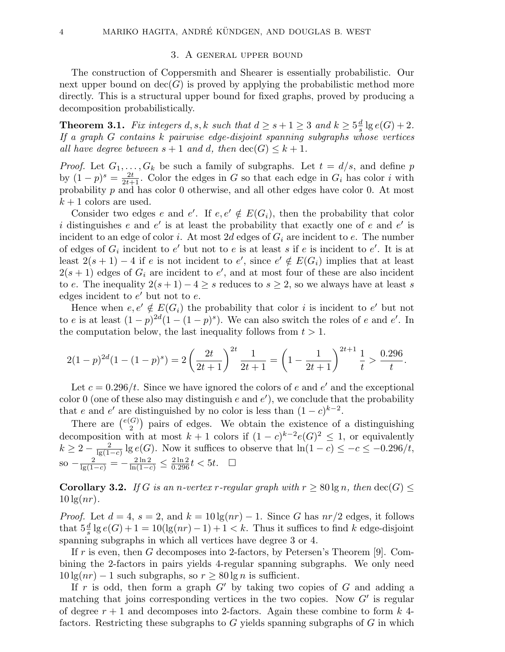#### 3. A general upper bound

The construction of Coppersmith and Shearer is essentially probabilistic. Our next upper bound on  $\text{dec}(G)$  is proved by applying the probabilistic method more directly. This is a structural upper bound for fixed graphs, proved by producing a decomposition probabilistically.

**Theorem 3.1.** Fix integers d, s, k such that  $d \geq s+1 \geq 3$  and  $k \geq 5\frac{d}{s}$  $\frac{d}{s}$  lg  $e(G)+2$ . If a graph G contains k pairwise edge-disjoint spanning subgraphs whose vertices all have degree between  $s + 1$  and d, then  $\text{dec}(G) \leq k + 1$ .

*Proof.* Let  $G_1, \ldots, G_k$  be such a family of subgraphs. Let  $t = d/s$ , and define p by  $(1-p)^s = \frac{2t}{2t+1}$ . Color the edges in G so that each edge in  $G_i$  has color i with probability p and has color 0 otherwise, and all other edges have color 0. At most  $k+1$  colors are used.

Consider two edges e and e'. If  $e, e' \notin E(G_i)$ , then the probability that color i distinguishes e and e' is at least the probability that exactly one of e and e' is incident to an edge of color i. At most 2d edges of  $G_i$  are incident to e. The number of edges of  $G_i$  incident to e' but not to e is at least s if e is incident to e'. It is at least  $2(s+1)-4$  if e is not incident to e', since  $e' \notin E(G_i)$  implies that at least  $2(s + 1)$  edges of  $G_i$  are incident to e', and at most four of these are also incident to e. The inequality  $2(s+1)-4\geq s$  reduces to  $s\geq 2$ , so we always have at least s edges incident to  $e'$  but not to  $e$ .

Hence when  $e, e' \notin E(G_i)$  the probability that color i is incident to  $e'$  but not to e is at least  $(1-p)^{2d}(1-(1-p)^s)$ . We can also switch the roles of e and e'. In the computation below, the last inequality follows from  $t > 1$ .

$$
2(1-p)^{2d}(1-(1-p)^s) = 2\left(\frac{2t}{2t+1}\right)^{2t}\frac{1}{2t+1} = \left(1-\frac{1}{2t+1}\right)^{2t+1}\frac{1}{t} > \frac{0.296}{t}.
$$

Let  $c = 0.296/t$ . Since we have ignored the colors of e and e' and the exceptional color 0 (one of these also may distinguish e and  $e'$ ), we conclude that the probability that e and e' are distinguished by no color is less than  $(1-c)^{k-2}$ .

There are  $\binom{e(G)}{2}$  $\binom{G}{2}$  pairs of edges. We obtain the existence of a distinguishing decomposition with at most  $k+1$  colors if  $(1-c)^{k-2}e(G)^2 \leq 1$ , or equivalently  $k \geq 2 - \frac{2}{\lg(1-c)} \lg e(G)$ . Now it suffices to observe that  $\ln(1-c) \leq -c \leq -0.296/t$ , so  $-\frac{2}{\lg(1-c)} = -\frac{2\ln 2}{\ln(1-c)} \leq \frac{2\ln 2}{0.296} t < 5t$ . □

**Corollary 3.2.** If G is an n-vertex r-regular graph with  $r > 80 \lg n$ , then  $\text{dec}(G)$  <  $10 \lg(nr)$ .

*Proof.* Let  $d = 4$ ,  $s = 2$ , and  $k = 10 \lg(n r) - 1$ . Since G has  $n r/2$  edges, it follows that  $5\frac{d}{s}$  lg  $e(G) + 1 = 10(\lg(nr) - 1) + 1 < k$ . Thus it suffices to find k edge-disjoint spanning subgraphs in which all vertices have degree 3 or 4.

If r is even, then G decomposes into 2-factors, by Petersen's Theorem [9]. Combining the 2-factors in pairs yields 4-regular spanning subgraphs. We only need  $10 \lg(nr) - 1$  such subgraphs, so  $r > 80 \lg n$  is sufficient.

If r is odd, then form a graph  $G'$  by taking two copies of G and adding a matching that joins corresponding vertices in the two copies. Now  $G'$  is regular of degree  $r + 1$  and decomposes into 2-factors. Again these combine to form k 4factors. Restricting these subgraphs to  $G$  yields spanning subgraphs of  $G$  in which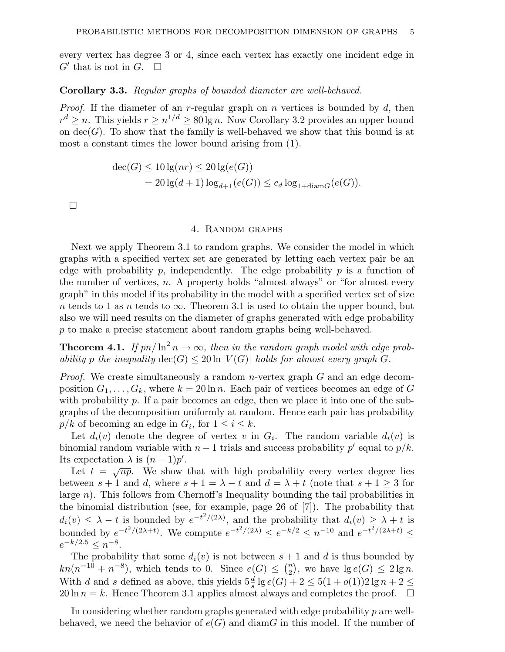every vertex has degree 3 or 4, since each vertex has exactly one incident edge in  $G'$  that is not in  $G$ .  $\square$ 

### Corollary 3.3. Regular graphs of bounded diameter are well-behaved.

*Proof.* If the diameter of an r-regular graph on n vertices is bounded by  $d$ , then  $r^d \geq n$ . This yields  $r \geq n^{1/d} \geq 80 \lg n$ . Now Corollary 3.2 provides an upper bound on  $dec(G)$ . To show that the family is well-behaved we show that this bound is at most a constant times the lower bound arising from (1).

$$
dec(G) \le 10 \lg(nr) \le 20 \lg(e(G))
$$
  
= 20 \lg(d+1) \log\_{d+1}(e(G)) \le c\_d \log\_{1+\text{diam}G}(e(G)).

 $\Box$ 

### 4. Random graphs

Next we apply Theorem 3.1 to random graphs. We consider the model in which graphs with a specified vertex set are generated by letting each vertex pair be an edge with probability p, independently. The edge probability p is a function of the number of vertices,  $n$ . A property holds "almost always" or "for almost every graph" in this model if its probability in the model with a specified vertex set of size n tends to 1 as n tends to  $\infty$ . Theorem 3.1 is used to obtain the upper bound, but also we will need results on the diameter of graphs generated with edge probability p to make a precise statement about random graphs being well-behaved.

**Theorem 4.1.** If  $pn/\ln^2 n \to \infty$ , then in the random graph model with edge probability p the inequality  $\text{dec}(G) \leq 20 \ln |V(G)|$  holds for almost every graph G.

*Proof.* We create simultaneously a random *n*-vertex graph  $G$  and an edge decomposition  $G_1, \ldots, G_k$ , where  $k = 20 \ln n$ . Each pair of vertices becomes an edge of G with probability p. If a pair becomes an edge, then we place it into one of the subgraphs of the decomposition uniformly at random. Hence each pair has probability  $p/k$  of becoming an edge in  $G_i$ , for  $1 \leq i \leq k$ .

Let  $d_i(v)$  denote the degree of vertex v in  $G_i$ . The random variable  $d_i(v)$  is binomial random variable with  $n-1$  trials and success probability p' equal to  $p/k$ . Its expectation  $\lambda$  is  $(n-1)p'$ .

expectation  $\lambda$  is  $(n-1)p$ .<br>Let  $t = \sqrt{np}$ . We show that with high probability every vertex degree lies between  $s + 1$  and d, where  $s + 1 = \lambda - t$  and  $d = \lambda + t$  (note that  $s + 1 \geq 3$  for large  $n$ ). This follows from Chernoff's Inequality bounding the tail probabilities in the binomial distribution (see, for example, page 26 of [7]). The probability that  $d_i(v) \leq \lambda - t$  is bounded by  $e^{-t^2/(2\lambda)}$ , and the probability that  $d_i(v) \geq \lambda + t$  is bounded by  $e^{-t^2/(2\lambda+t)}$ . We compute  $e^{-t^2/(2\lambda)} \le e^{-k/2} \le n^{-10}$  and  $e^{-t^2/(2\lambda+t)} \le$  $e^{-k/2.5} \leq n^{-8}.$ 

The probability that some  $d_i(v)$  is not between  $s + 1$  and d is thus bounded by  $kn(n^{-10}+n^{-8}),$  which tends to 0. Since  $e(G) \leq {n \choose 2}$  $n \choose 2$ , we have  $\lg e(G) \leq 2 \lg n$ . With d and s defined as above, this yields  $5\frac{d}{s}$  lg  $e(G) + 2 \le 5(1+o(1))2 \lg n + 2 \le$  $20 \ln n = k$ . Hence Theorem 3.1 applies almost always and completes the proof.  $\square$ 

In considering whether random graphs generated with edge probability  $p$  are wellbehaved, we need the behavior of  $e(G)$  and diamG in this model. If the number of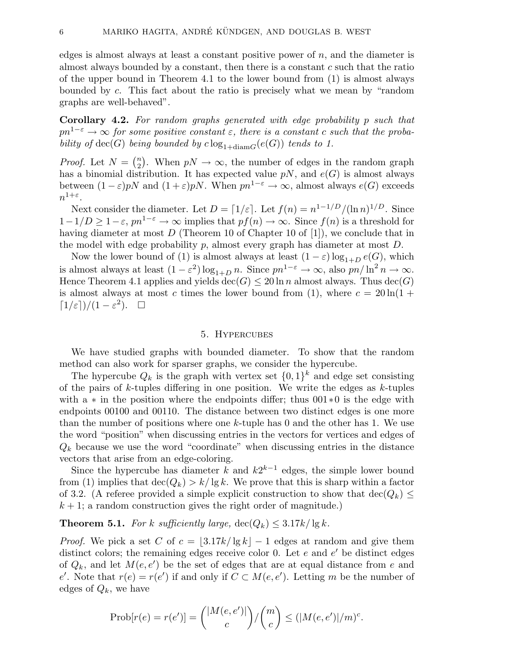edges is almost always at least a constant positive power of  $n$ , and the diameter is almost always bounded by a constant, then there is a constant  $c$  such that the ratio of the upper bound in Theorem 4.1 to the lower bound from (1) is almost always bounded by c. This fact about the ratio is precisely what we mean by "random graphs are well-behaved".

Corollary 4.2. For random graphs generated with edge probability p such that  $pn^{1-\varepsilon} \to \infty$  for some positive constant  $\varepsilon$ , there is a constant c such that the probability of  $dec(G)$  being bounded by  $c \log_{1+\text{diam }G}(e(G))$  tends to 1.

*Proof.* Let  $N = \binom{n}{2}$ <sup>n</sup><sub>2</sub>). When  $pN \to \infty$ , the number of edges in the random graph has a binomial distribution. It has expected value  $pN$ , and  $e(G)$  is almost always between  $(1 - \varepsilon)pN$  and  $(1 + \varepsilon)pN$ . When  $pn^{1-\varepsilon} \to \infty$ , almost always  $e(G)$  exceeds  $n^{1+\varepsilon}.$ 

Next consider the diameter. Let  $D = \lfloor 1/\varepsilon \rfloor$ . Let  $f(n) = n^{1-1/D}/(\ln n)^{1/D}$ . Since  $1-1/D \geq 1-\varepsilon$ ,  $pn^{1-\varepsilon} \to \infty$  implies that  $pf(n) \to \infty$ . Since  $f(n)$  is a threshold for having diameter at most D (Theorem 10 of Chapter 10 of [1]), we conclude that in the model with edge probability  $p$ , almost every graph has diameter at most  $D$ .

Now the lower bound of (1) is almost always at least  $(1 - \varepsilon) \log_{1+D} e(G)$ , which is almost always at least  $(1 - \varepsilon^2) \log_{1+D} n$ . Since  $p n^{1-\varepsilon} \to \infty$ , also  $p n / \ln^2 n \to \infty$ . Hence Theorem 4.1 applies and yields  $\text{dec}(G) \leq 20 \ln n$  almost always. Thus  $\text{dec}(G)$ is almost always at most c times the lower bound from (1), where  $c = 20 \ln(1 +$  $\lceil 1/\varepsilon \rceil \big) / (1 - \varepsilon^2). \quad \Box$ 

#### 5. Hypercubes

We have studied graphs with bounded diameter. To show that the random method can also work for sparser graphs, we consider the hypercube.

The hypercube  $Q_k$  is the graph with vertex set  $\{0,1\}^k$  and edge set consisting of the pairs of  $k$ -tuples differing in one position. We write the edges as  $k$ -tuples with a  $*$  in the position where the endpoints differ; thus 001 $*$ 0 is the edge with endpoints 00100 and 00110. The distance between two distinct edges is one more than the number of positions where one k-tuple has 0 and the other has 1. We use the word "position" when discussing entries in the vectors for vertices and edges of  $Q_k$  because we use the word "coordinate" when discussing entries in the distance vectors that arise from an edge-coloring.

Since the hypercube has diameter  $\tilde{k}$  and  $k2^{k-1}$  edges, the simple lower bound from (1) implies that  $\text{dec}(Q_k) > k/\lg k$ . We prove that this is sharp within a factor of 3.2. (A referee provided a simple explicit construction to show that  $\text{dec}(Q_k) \leq$  $k + 1$ ; a random construction gives the right order of magnitude.)

**Theorem 5.1.** For k sufficiently large,  $\text{dec}(Q_k) \leq 3.17k/\lg k$ .

*Proof.* We pick a set C of  $c = \frac{3.17k}{\lg k} - 1$  edges at random and give them distinct colors; the remaining edges receive color 0. Let  $e$  and  $e'$  be distinct edges of  $Q_k$ , and let  $M(e, e')$  be the set of edges that are at equal distance from e and e'. Note that  $r(e) = r(e')$  if and only if  $C \subset M(e, e')$ . Letting m be the number of edges of  $Q_k$ , we have

$$
Prob[r(e) = r(e')] = {\binom{|M(e, e')|}{c}} / {\binom{m}{c}} \le (|M(e, e')| / m)^{c}.
$$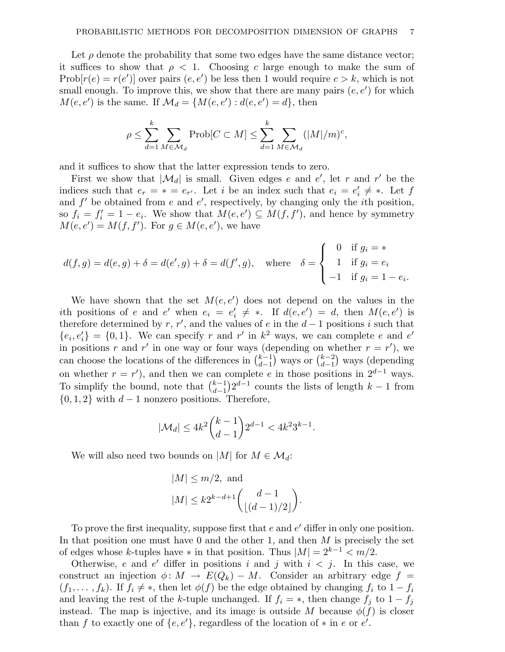Let  $\rho$  denote the probability that some two edges have the same distance vector; it suffices to show that  $\rho < 1$ . Choosing c large enough to make the sum of  $\text{Prob}[r(e) = r(e')]$  over pairs  $(e, e')$  be less then 1 would require  $c > k$ , which is not small enough. To improve this, we show that there are many pairs  $(e, e')$  for which  $M(e, e')$  is the same. If  $\mathcal{M}_d = \{M(e, e') : d(e, e') = d\}$ , then

$$
\rho \le \sum_{d=1}^k \sum_{M \in \mathcal{M}_d} \text{Prob}[C \subset M] \le \sum_{d=1}^k \sum_{M \in \mathcal{M}_d} (|M|/m)^c,
$$

and it suffices to show that the latter expression tends to zero.

First we show that  $|\mathcal{M}_d|$  is small. Given edges e and e', let r and r' be the indices such that  $e_r = * = e_{r'}$ . Let i be an index such that  $e_i = e'_i$  $i \neq *$ . Let  $f$ and  $f'$  be obtained from e and e', respectively, by changing only the *i*th position, so  $f_i = f'_i = 1 - e_i$ . We show that  $M(e, e') \subseteq M(f, f')$ , and hence by symmetry  $M(e, e') = M(f, f')$ . For  $g \in M(e, e')$ , we have

$$
d(f,g) = d(e,g) + \delta = d(e',g) + \delta = d(f',g), \quad \text{where} \quad \delta = \begin{cases} 0 & \text{if } g_i = * \\ 1 & \text{if } g_i = e_i \\ -1 & \text{if } g_i = 1 - e_i. \end{cases}
$$

We have shown that the set  $M(e, e')$  does not depend on the values in the ith positions of e and e' when  $e_i = e'_i$  $\alpha'_i \neq *$ . If  $d(e,e') = d$ , then  $M(e,e')$  is therefore determined by r, r', and the values of e in the  $d-1$  positions i such that  ${e_i, e'_i} = {0, 1}.$  We can specify r and r' in  $k^2$  ways, we can complete e and e' in positions r and r' in one way or four ways (depending on whether  $r = r'$ ), we can choose the locations of the differences in  $\binom{k-1}{d-1}$  $\begin{pmatrix} k-1 \\ d-1 \end{pmatrix}$  ways or  $\begin{pmatrix} k-2 \\ d-1 \end{pmatrix}$  $\binom{k-2}{d-1}$  ways (depending on whether  $r = r'$ ), and then we can complete e in those positions in  $2^{d-1}$  ways. To simplify the bound, note that  $\binom{k-1}{d-1}$  $_{d-1}^{k-1}$ ) $2^{d-1}$  counts the lists of length  $k-1$  from  $\{0, 1, 2\}$  with  $d-1$  nonzero positions. Therefore,

$$
|\mathcal{M}_d| \le 4k^2 \binom{k-1}{d-1} 2^{d-1} < 4k^2 3^{k-1}.
$$

We will also need two bounds on |M| for  $M \in \mathcal{M}_d$ :

$$
|M| \le m/2, \text{ and}
$$
  

$$
|M| \le k2^{k-d+1} {d-1 \choose \lfloor (d-1)/2 \rfloor}.
$$

To prove the first inequality, suppose first that  $e$  and  $e'$  differ in only one position. In that position one must have 0 and the other 1, and then  $M$  is precisely the set of edges whose k-tuples have  $*$  in that position. Thus  $|M| = 2^{k-1} < m/2$ .

Otherwise, e and e' differ in positions i and j with  $i < j$ . In this case, we construct an injection  $\phi: M \to E(Q_k) - M$ . Consider an arbitrary edge  $f =$  $(f_1, \ldots, f_k)$ . If  $f_i \neq *$ , then let  $\phi(f)$  be the edge obtained by changing  $f_i$  to  $1 - f_i$ and leaving the rest of the k-tuple unchanged. If  $f_i = *$ , then change  $f_j$  to  $1 - f_j$ instead. The map is injective, and its image is outside M because  $\phi(f)$  is closer than f to exactly one of  $\{e, e'\}$ , regardless of the location of  $*$  in  $e$  or  $e'$ .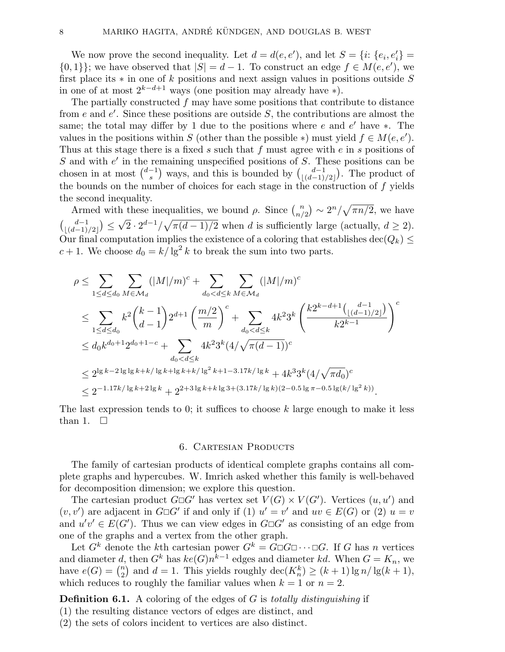We now prove the second inequality. Let  $d = d(e, e')$ , and let  $S = \{i: \{e_i, e'_i\} =$  $\{0,1\}$ ; we have observed that  $|S| = d - 1$ . To construct an edge  $f \in M(e,e'),$  we first place its  $*$  in one of k positions and next assign values in positions outside S in one of at most  $2^{k-d+1}$  ways (one position may already have \*).

The partially constructed  $f$  may have some positions that contribute to distance from e and  $e'$ . Since these positions are outside S, the contributions are almost the same; the total may differ by 1 due to the positions where  $e$  and  $e'$  have  $\ast$ . The values in the positions within S (other than the possible \*) must yield  $f \in M(e, e')$ . Thus at this stage there is a fixed s such that f must agree with e in s positions of S and with  $e'$  in the remaining unspecified positions of S. These positions can be chosen in at most  $\binom{d-1}{s}$  $\binom{-1}{s}$  ways, and this is bounded by  $\binom{d-1}{\lfloor (d-1) \rfloor}$  $\binom{d-1}{\lfloor (d-1)/2 \rfloor}$ . The product of the bounds on the number of choices for each stage in the construction of f yields the second inequality.

Armed with these inequalities, we bound  $\rho$ . Since  $\binom{n}{n'}$ h these inequalities, we bound  $\rho$ . Since  $\binom{n}{n/2} \sim 2^n/\sqrt{\pi n/2}$ , we have  $\begin{pmatrix} d-1 \\ (d-1) \end{pmatrix}$  $\binom{d-1}{(d-1)/2} \leq \sqrt{2} \cdot 2^{d-1} / \sqrt{\pi(d-1)/2}$  when d is sufficiently large (actually,  $d \geq 2$ ). Our final computation implies the existence of a coloring that establishes  $\text{dec}(Q_k) \leq$  $c + 1$ . We choose  $d_0 = k / \lg^2 k$  to break the sum into two parts.

$$
\rho \leq \sum_{1 \leq d \leq d_0} \sum_{M \in \mathcal{M}_d} (|M|/m)^c + \sum_{d_0 < d \leq k} \sum_{M \in \mathcal{M}_d} (|M|/m)^c
$$
\n
$$
\leq \sum_{1 \leq d \leq d_0} k^2 {k-1 \choose d-1} 2^{d+1} \left(\frac{m/2}{m}\right)^c + \sum_{d_0 < d \leq k} 4k^2 3^k \left(\frac{k2^{k-d+1} \left(\frac{d-1}{\lfloor(d-1)/2\rfloor}\right)}{k2^{k-1}}\right)^c
$$
\n
$$
\leq d_0 k^{d_0+1} 2^{d_0+1-c} + \sum_{d_0 < d \leq k} 4k^2 3^k (4/\sqrt{\pi(d-1)})^c
$$
\n
$$
\leq 2^{\lg k - 2 \lg \lg k + k / \lg k + \lg k + k / \lg^2 k + 1 - 3.17k / \lg k} + 4k^3 3^k (4/\sqrt{\pi d_0})^c
$$
\n
$$
\leq 2^{-1.17k / \lg k + 2 \lg k} + 2^{2+3 \lg k + k \lg 3 + (3.17k / \lg k)(2 - 0.5 \lg \pi - 0.5 \lg (k / \lg^2 k))}.
$$

The last expression tends to 0; it suffices to choose  $k$  large enough to make it less than 1.  $\Box$ 

#### 6. Cartesian Products

The family of cartesian products of identical complete graphs contains all complete graphs and hypercubes. W. Imrich asked whether this family is well-behaved for decomposition dimension; we explore this question.

The cartesian product  $G \Box G'$  has vertex set  $V(G) \times V(G')$ . Vertices  $(u, u')$  and  $(v, v')$  are adjacent in  $G \Box G'$  if and only if (1)  $u' = v'$  and  $uv \in E(G)$  or (2)  $u = v'$ and  $u'v' \in E(G')$ . Thus we can view edges in  $G \Box G'$  as consisting of an edge from one of the graphs and a vertex from the other graph.

Let  $G^k$  denote the kth cartesian power  $G^k = G \Box G \Box \cdots \Box G$ . If G has n vertices and diameter d, then  $G^k$  has  $ke(G)n^{\tilde{k}-1}$  edges and diameter kd. When  $G = K_n$ , we have  $e(G) = \binom{n}{2}$  $n_2^n$  and  $d = 1$ . This yields roughly  $\text{dec}(K_n^k) \ge (k+1) \lg n / \lg(k+1)$ , which reduces to roughly the familiar values when  $k = 1$  or  $n = 2$ .

**Definition 6.1.** A coloring of the edges of  $G$  is *totally distinguishing* if

(1) the resulting distance vectors of edges are distinct, and

(2) the sets of colors incident to vertices are also distinct.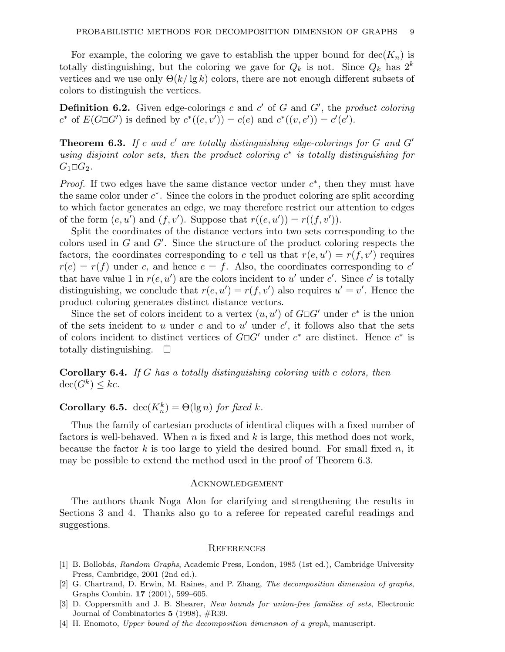For example, the coloring we gave to establish the upper bound for  $\text{dec}(K_n)$  is totally distinguishing, but the coloring we gave for  $Q_k$  is not. Since  $Q_k$  has  $2^k$ vertices and we use only  $\Theta(k/\lg k)$  colors, there are not enough different subsets of colors to distinguish the vertices.

**Definition 6.2.** Given edge-colorings c and c' of G and G', the product coloring  $c^*$  of  $E(G \Box G')$  is defined by  $c^*((e, v')) = c(e)$  and  $c^*((v, e')) = c'(e').$ 

**Theorem 6.3.** If c and c' are totally distinguishing edge-colorings for G and  $G'$ using disjoint color sets, then the product coloring  $c^*$  is totally distinguishing for  $G_1 \square G_2$ .

*Proof.* If two edges have the same distance vector under  $c^*$ , then they must have the same color under  $c^*$ . Since the colors in the product coloring are split according to which factor generates an edge, we may therefore restrict our attention to edges of the form  $(e, u')$  and  $(f, v')$ . Suppose that  $r((e, u')) = r((f, v')).$ 

Split the coordinates of the distance vectors into two sets corresponding to the colors used in  $G$  and  $G'$ . Since the structure of the product coloring respects the factors, the coordinates corresponding to c tell us that  $r(e, u') = r(f, v')$  requires  $r(e) = r(f)$  under c, and hence  $e = f$ . Also, the coordinates corresponding to c' that have value 1 in  $r(e, u')$  are the colors incident to u' under c'. Since c' is totally distinguishing, we conclude that  $r(e, u') = r(f, v')$  also requires  $u' = v'$ . Hence the product coloring generates distinct distance vectors.

Since the set of colors incident to a vertex  $(u, u')$  of  $G \Box G'$  under  $c^*$  is the union of the sets incident to u under c and to u' under  $c'$ , it follows also that the sets of colors incident to distinct vertices of  $G \Box G'$  under  $c^*$  are distinct. Hence  $c^*$  is totally distinguishing.  $\square$ 

Corollary 6.4. If G has a totally distinguishing coloring with c colors, then  $\operatorname{dec}(G^k) \leq kc.$ 

**Corollary 6.5.**  $\text{dec}(K_n^k) = \Theta(\lg n)$  for fixed k.

Thus the family of cartesian products of identical cliques with a fixed number of factors is well-behaved. When n is fixed and  $k$  is large, this method does not work, because the factor k is too large to yield the desired bound. For small fixed n, it may be possible to extend the method used in the proof of Theorem 6.3.

### Acknowledgement

The authors thank Noga Alon for clarifying and strengthening the results in Sections 3 and 4. Thanks also go to a referee for repeated careful readings and suggestions.

#### **REFERENCES**

- [1] B. Bollobás, Random Graphs, Academic Press, London, 1985 (1st ed.), Cambridge University Press, Cambridge, 2001 (2nd ed.).
- [2] G. Chartrand, D. Erwin, M. Raines, and P. Zhang, The decomposition dimension of graphs, Graphs Combin. 17 (2001), 599–605.
- [3] D. Coppersmith and J. B. Shearer, New bounds for union-free families of sets, Electronic Journal of Combinatorics  $5(1998)$ ,  $\#R39$ .
- [4] H. Enomoto, Upper bound of the decomposition dimension of a graph, manuscript.